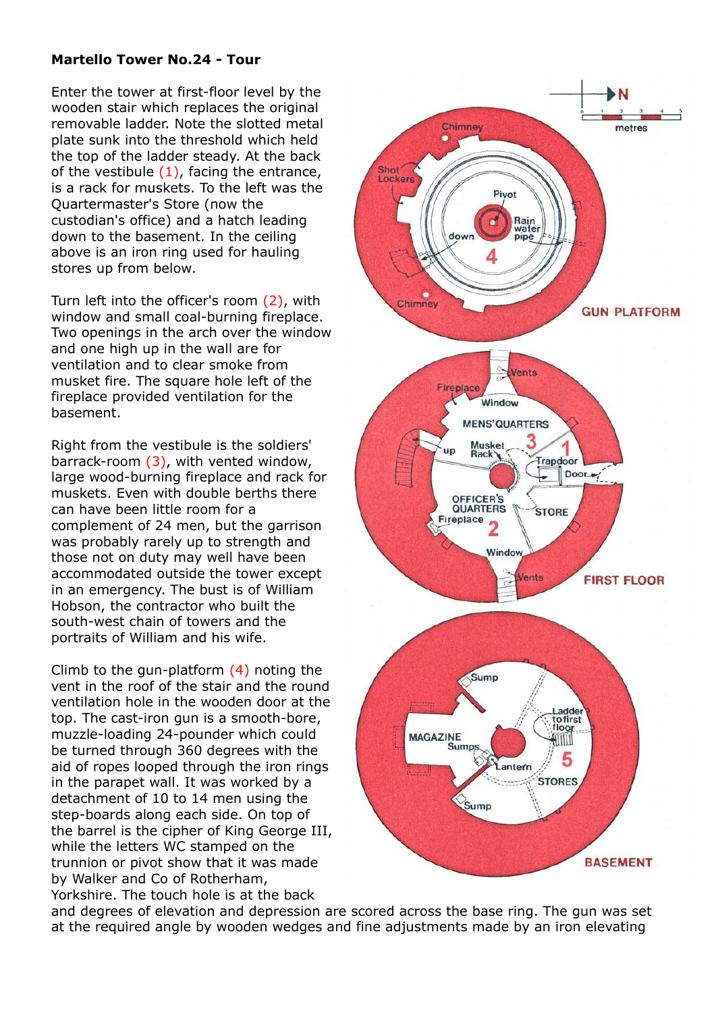## **Martello Tower No.24 - Tour**

Enter the tower at first-floor level by the wooden stair which replaces the original removable ladder. Note the slotted metal plate sunk into the threshold which held the top of the ladder steady. At the back of the vestibule  $(1)$ , facing the entrance, is a rack for muskets. To the left was the Quartermaster's Store (now the custodian's office) and a hatch leading down to the basement. In the ceiling above is an iron ring used for hauling stores up from below.

Turn left into the officer's room (2), with window and small coal-burning fireplace. Two openings in the arch over the window and one high up in the wall are for ventilation and to clear smoke from musket fire. The square hole left of the fireplace provided ventilation for the basement.

Right from the vestibule is the soldiers' barrack-room (3), with vented window, large wood-burning fireplace and rack for muskets. Even with double berths there can have been little room for a complement of 24 men, but the garrison was probably rarely up to strength and those not on duty may well have been accommodated outside the tower except in an emergency. The bust is of William Hobson, the contractor who built the south-west chain of towers and the portraits of William and his wife.

Climb to the gun-platform (4) noting the vent in the roof of the stair and the round ventilation hole in the wooden door at the top. The cast-iron gun is a smooth-bore, muzzle-loading 24-pounder which could be turned through 360 degrees with the aid of ropes looped through the iron rings in the parapet wall. It was worked by a detachment of 10 to 14 men using the step-boards along each side. On top of the barrel is the cipher of King George III, while the letters WC stamped on the trunnion or pivot show that it was made by Walker and Co of Rotherham, Yorkshire. The touch hole is at the back



and degrees of elevation and depression are scored across the base ring. The gun was set at the required angle by wooden wedges and fine adjustments made by an iron elevating